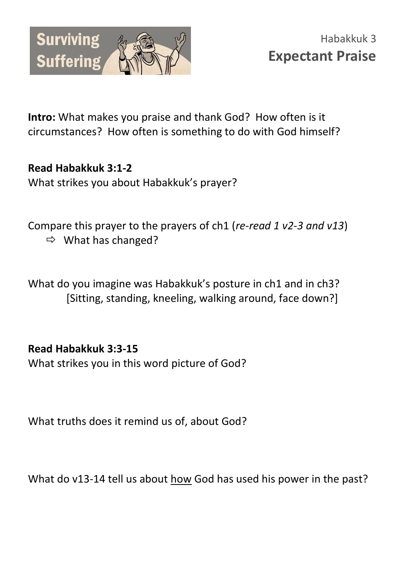

**Intro:** What makes you praise and thank God? How often is it circumstances? How often is something to do with God himself?

**Read Habakkuk 3:1-2**  What strikes you about Habakkuk's prayer?

Compare this prayer to the prayers of ch1 (*re-read 1 v2-3 and v13*)  $\Rightarrow$  What has changed?

What do you imagine was Habakkuk's posture in ch1 and in ch3? [Sitting, standing, kneeling, walking around, face down?]

## **Read Habakkuk 3:3-15**

What strikes you in this word picture of God?

What truths does it remind us of, about God?

What do v13-14 tell us about how God has used his power in the past?